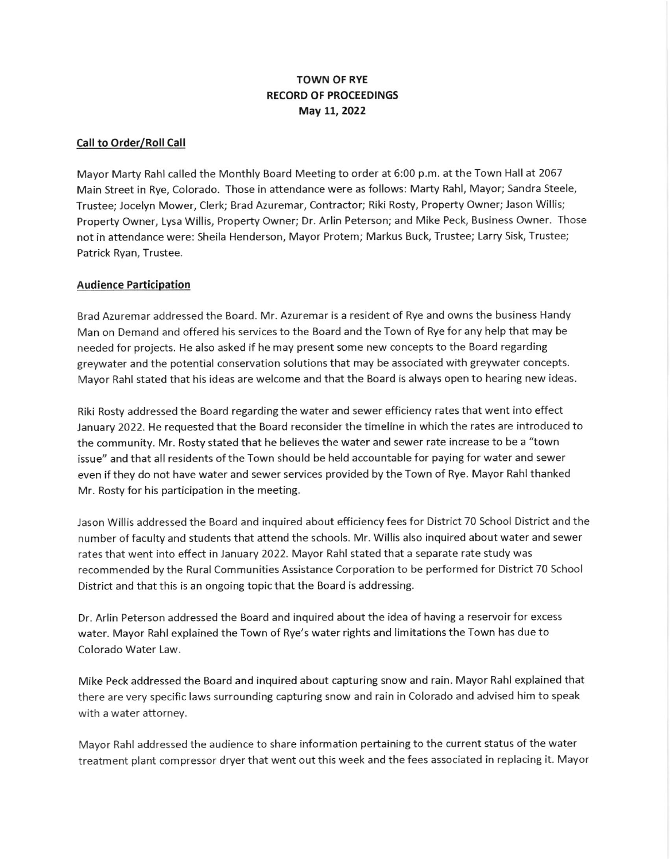## TOWN OF RYE RECORD OF PROCEEDINGS May 11, 2022

### Call to Order/Roll Call

Mayor Marty Rahl called the Monthly Board Meetingto order at 6:00 p.m. at the Town Hall at 2067 Main Street in Rye, Colorado. Those in attendance were as follows: Marty Rahl, Mayor; Sandra Steele, Trustee; Jocelyn Mower, Clerk; Brad Azuremar, Contractor; Riki Rosty, Property Owner; Jason Willis; Property Owner, Lysa Willis, Property Owner; Dr. Arlin Peterson; and Mike Peck, Business Owner. Those not in attendance were: Sheila Henderson, Mayor Protem; Markus Buck, Trustee; Larry Sisk, Trustee; Patrick Ryan, Trustee.

#### Audience Participation

Brad Azuremar addressed the Board. Mr. Azuremar is a resident of Rye and owns the business Handy Man on Demand and offered his services to the Board and the Town of Rye for any help that may be needed for projects. He also asked if he may present some new concepts to the Board regarding greywater and the potential conservation solutions that may be associated with greywater concepts. Mayor Rahl stated that his ideas are welcome and that the Board is always open to hearing new ideas

Riki Rosty addressed the Board regarding the water and sewer efficiency rates that went into effect January 2022. He requested that the Board reconsider the timeline in which the rates are introduced to the community. Mr. Rosty stated that he believes the water and sewer rate increase to be a "town issue" and that all residents of the Town should be held accountable for paying for water and sewer even if they do not have water and sewer services provided by the Town of Rye. Mayor Rahl thanked Mr. Rosty for his participation in the meeting.

Jason Willis addressed the Board and inquired about efficiency fees for District 70 School District and the number of faculty and students that attend the schools. Mr. Willis also inquired about water and sewer rates that went into effect in January 2022. Mayot Rahl stated that a separate rate study was recommended by the Rural Communities Assistance Corporation to be performed for District 70 School District and that this is an ongoing topic that the Board is addressing.

Dr. Arlin Peterson addressed the Board and inquired about the idea of having a reservoir for excess water. Mayor Rahl explained the Town of Rye's water rights and limitations the Town has due to Colorado Water Law.

Mike Peck addressed the Board and inquired about capturing snow and rain. Mayor Rahl explained that there are very specific laws surrounding capturing snow and rain in Colorado and advised him to speak with a water attorney.

Mayor Raht addressed the audience to share information pertaining to the current status of the water treatment plant compressor dryer that went out this week and the fees associated in replacing it. Mayor